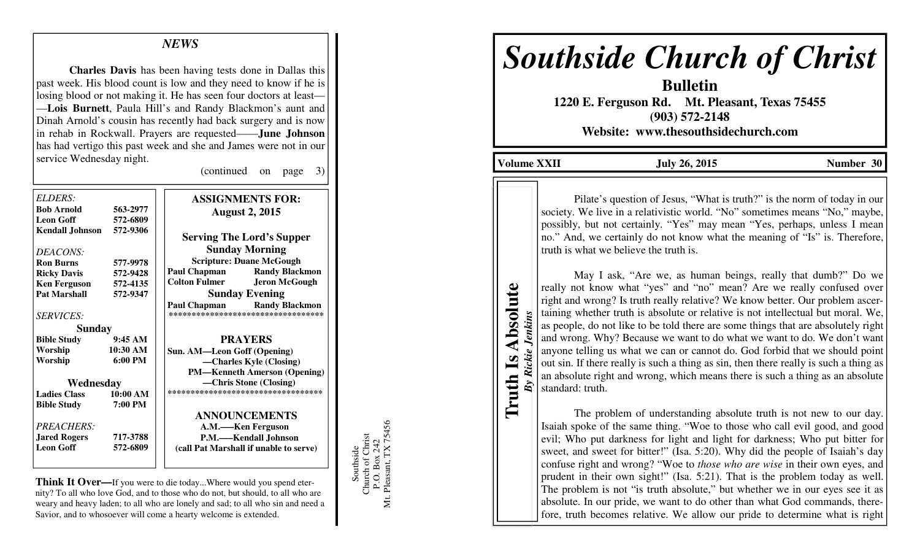# *NEWS*

**Charles Davis** has been having tests done in Dallas this past week. His blood count is low and they need to know if he is losing blood or not making it. He has seen four doctors at least— —**Lois Burnett**, Paula Hill's and Randy Blackmon's aunt and Dinah Arnold's cousin has recently had back surgery and is now in rehab in Rockwall. Prayers are requested——**June Johnson**  has had vertigo this past week and she and James were not in our service Wednesday night.

(continued on page 3)

| <b>ASSIGNMENTS FOR:</b>                                                  |  |
|--------------------------------------------------------------------------|--|
| <b>August 2, 2015</b>                                                    |  |
|                                                                          |  |
| <b>Sunday Morning</b>                                                    |  |
| <b>Scripture: Duane McGough</b>                                          |  |
| <b>Randy Blackmon</b>                                                    |  |
| <b>Jeron McGough</b>                                                     |  |
| <b>Sunday Evening</b>                                                    |  |
| <b>Paul Chapman</b> Randy Blackmon<br>********************************** |  |
|                                                                          |  |
| <b>PRAYERS</b>                                                           |  |
| Sun. AM-Leon Goff (Opening)                                              |  |
| -Charles Kyle (Closing)                                                  |  |
| <b>PM—Kenneth Amerson (Opening)</b>                                      |  |
| —Chris Stone (Closing)                                                   |  |
| ***********************************                                      |  |
|                                                                          |  |
| <b>ANNOUNCEMENTS</b>                                                     |  |
| A.M.-Ken Ferguson                                                        |  |
| P.M.—Kendall Johnson                                                     |  |
| (call Pat Marshall if unable to serve)                                   |  |
|                                                                          |  |

**Think It Over—**If you were to die today...Where would you spend eternity? To all who love God, and to those who do not, but should, to all who are weary and heavy laden; to all who are lonely and sad; to all who sin and need a Savior, and to whosoever will come a hearty welcome is extended.

Southside<br>Church of Christ<br>P.O. Box 242<br>Mt. Pleasant, TX 75456 Mt. Pleasant, TX 75456 Church of Christ P.O. Box 242 Southside

# *Southside Church of Christ*

**Bulletin** 

 **1220 E. Ferguson Rd. Mt. Pleasant, Texas 75455 (903) 572-2148 Website: www.thesouthsidechurch.com** 

**Volume XXII July 26, 2015 Number 30** 

**Truth Is Absolute Truth Is Absolute** *By Rickie Jenkins* 

Rickie Jenkins

 $By$ 

Pilate's question of Jesus, "What is truth?" is the norm of today in our society. We live in a relativistic world. "No" sometimes means "No," maybe, possibly, but not certainly. "Yes" may mean "Yes, perhaps, unless I mean no." And, we certainly do not know what the meaning of "Is" is. Therefore, truth is what we believe the truth is.

 May I ask, "Are we, as human beings, really that dumb?" Do we really not know what "yes" and "no" mean? Are we really confused over right and wrong? Is truth really relative? We know better. Our problem ascertaining whether truth is absolute or relative is not intellectual but moral. We, as people, do not like to be told there are some things that are absolutely right and wrong. Why? Because we want to do what we want to do. We don't want anyone telling us what we can or cannot do. God forbid that we should point out sin. If there really is such a thing as sin, then there really is such a thing as an absolute right and wrong, which means there is such a thing as an absolute standard: truth.

 The problem of understanding absolute truth is not new to our day. Isaiah spoke of the same thing. "Woe to those who call evil good, and good evil; Who put darkness for light and light for darkness; Who put bitter for sweet, and sweet for bitter!" (Isa. 5:20). Why did the people of Isaiah's day confuse right and wrong? "Woe to *those who are wise* in their own eyes, and prudent in their own sight!" (Isa. 5:21). That is the problem today as well. The problem is not "is truth absolute," but whether we in our eyes see it as absolute. In our pride, we want to do other than what God commands, therefore, truth becomes relative. We allow our pride to determine what is right